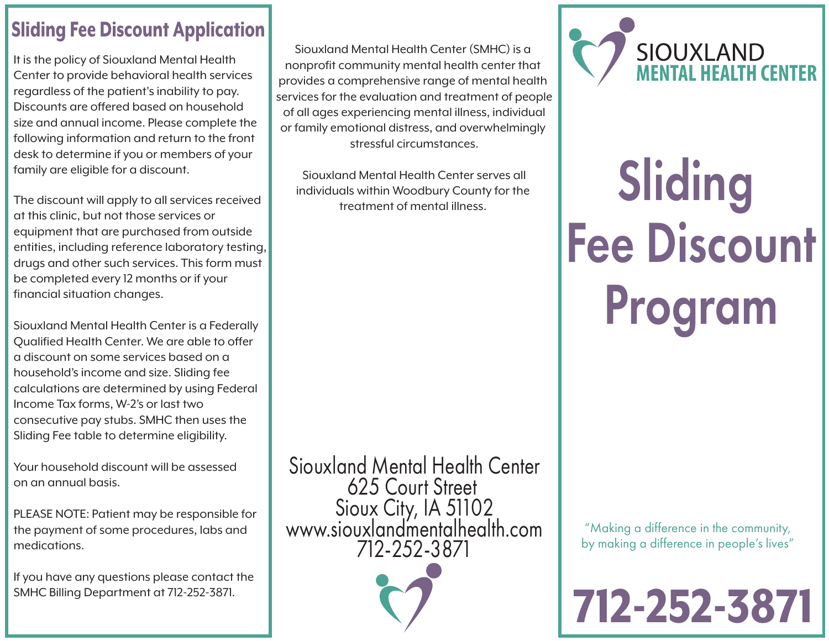## Sliding Fee Discount Application

It is the policy of Siouxland Mental Health Center to provide behavioral health services regardless of the patient's inability to pay. Discounts are offered based on household size and annual income. Please complete the following information and return to the front desk to determine if you or members of your family are eligible for a discount.

The discount will apply to all services received at this clinic, but not those services or equipment that are purchased from outside entities, including reference laboratory testing, drugs and other such services. This form must be completed every 12 months or if your financial situation changes.

Siouxland Mental Health Center is a Federally Qualified Health Center. We are able to offer a discount on some services based on a household's income and size. Sliding fee calculations are determined by using Federal Income Tax forms, W-2's or last two consecutive pay stubs. SMHC then uses the Sliding Fee table to determine eligibility.

Your household discount will be assessed on an annual basis.

PLEASE NOTE: Patient may be responsible for the payment of some procedures, labs and medications.

If you have any questions please contact the SMHC Billing Department at 712-252-3871.

Siouxland Mental Health Center (SMHC) is a nonprofit community mental health center that provides a comprehensive range of mental health services for the evaluation and treatment of people of all ages experiencing mental illness, individual or family emotional distress, and overwhelmingly stressful circumstances.

Siouxland Mental Health Center serves all individuals within Woodbury County for the treatment of mental illness.

Siouxland Mental Health Center 625 Court Street Sioux City, IA 51102 www.siouxlandmentalhealth.com 712-252-3871





## Sliding Fee Discount Program

"Making a difference in the community, by making a difference in people's lives"

## 712-252-3871